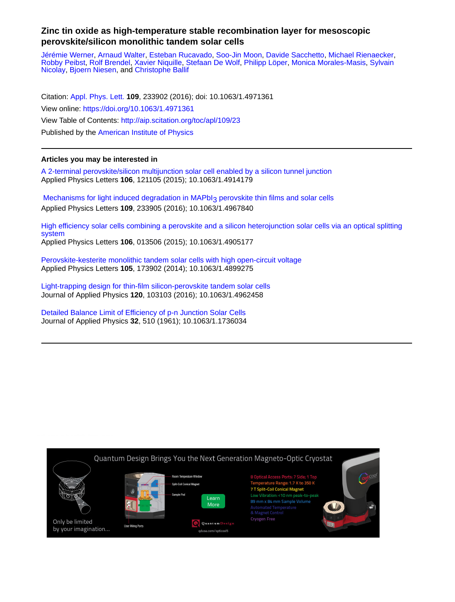## **Zinc tin oxide as high-temperature stable recombination layer for mesoscopic perovskite/silicon monolithic tandem solar cells**

[Jérémie Werner](http://aip.scitation.org/author/Werner%2C+J%C3%A9r%C3%A9mie), [Arnaud Walter](http://aip.scitation.org/author/Walter%2C+Arnaud), [Esteban Rucavado](http://aip.scitation.org/author/Rucavado%2C+Esteban), [Soo-Jin Moon,](http://aip.scitation.org/author/Moon%2C+Soo-Jin) [Davide Sacchetto](http://aip.scitation.org/author/Sacchetto%2C+Davide), [Michael Rienaecker,](http://aip.scitation.org/author/Rienaecker%2C+Michael) [Robby Peibst,](http://aip.scitation.org/author/Peibst%2C+Robby) [Rolf Brendel](http://aip.scitation.org/author/Brendel%2C+Rolf), [Xavier Niquille,](http://aip.scitation.org/author/Niquille%2C+Xavier) [Stefaan De Wolf,](http://aip.scitation.org/author/de+Wolf%2C+Stefaan) [Philipp Löper,](http://aip.scitation.org/author/L%C3%B6per%2C+Philipp) [Monica Morales-Masis](http://aip.scitation.org/author/Morales-Masis%2C+Monica), [Sylvain](http://aip.scitation.org/author/Nicolay%2C+Sylvain) [Nicolay](http://aip.scitation.org/author/Nicolay%2C+Sylvain), [Bjoern Niesen,](http://aip.scitation.org/author/Niesen%2C+Bjoern) and [Christophe Ballif](http://aip.scitation.org/author/Ballif%2C+Christophe)

Citation: [Appl. Phys. Lett.](/loi/apl) **109**, 233902 (2016); doi: 10.1063/1.4971361 View online: <https://doi.org/10.1063/1.4971361> View Table of Contents: <http://aip.scitation.org/toc/apl/109/23> Published by the [American Institute of Physics](http://aip.scitation.org/publisher/)

## **Articles you may be interested in**

[A 2-terminal perovskite/silicon multijunction solar cell enabled by a silicon tunnel junction](http://aip.scitation.org/doi/abs/10.1063/1.4914179) Applied Physics Letters **106**, 121105 (2015); 10.1063/1.4914179

Mechanisms for light induced degradation in MAPbI3 perovskite thin films and solar cells Applied Physics Letters **109**, 233905 (2016); 10.1063/1.4967840

[High efficiency solar cells combining a perovskite and a silicon heterojunction solar cells via an optical splitting](http://aip.scitation.org/doi/abs/10.1063/1.4905177) [system](http://aip.scitation.org/doi/abs/10.1063/1.4905177)

Applied Physics Letters **106**, 013506 (2015); 10.1063/1.4905177

[Perovskite-kesterite monolithic tandem solar cells with high open-circuit voltage](http://aip.scitation.org/doi/abs/10.1063/1.4899275) Applied Physics Letters **105**, 173902 (2014); 10.1063/1.4899275

[Light-trapping design for thin-film silicon-perovskite tandem solar cells](http://aip.scitation.org/doi/abs/10.1063/1.4962458) Journal of Applied Physics **120**, 103103 (2016); 10.1063/1.4962458

[Detailed Balance Limit of Efficiency of p-n Junction Solar Cells](http://aip.scitation.org/doi/abs/10.1063/1.1736034) Journal of Applied Physics **32**, 510 (1961); 10.1063/1.1736034

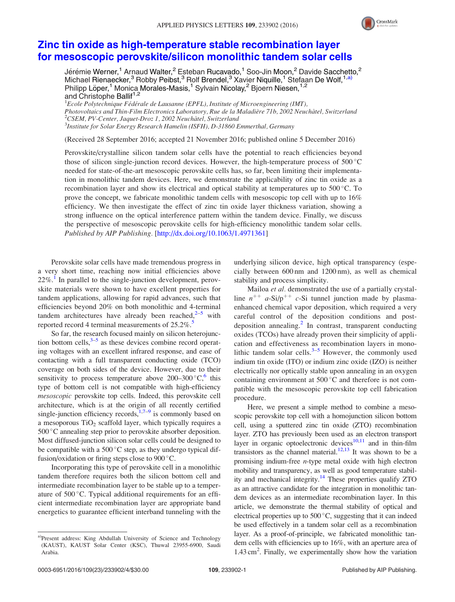

## [Zinc tin oxide as high-temperature stable recombination layer](http://dx.doi.org/10.1063/1.4971361) [for mesoscopic perovskite/silicon monolithic tandem solar cells](http://dx.doi.org/10.1063/1.4971361)

Jérémie Werner,<sup>1</sup> Arnaud Walter,<sup>2</sup> Esteban Rucavado,<sup>1</sup> Soo-Jin Moon,<sup>2</sup> Davide Sacchetto,<sup>2</sup> Michael Rienaecker,<sup>3</sup> Robby Peibst,<sup>3</sup> Rolf Brendel,<sup>3</sup> Xavier Niquille,<sup>1</sup> Stefaan De Wolf,<sup>1,a)</sup> Philipp Löper,<sup>1</sup> Monica Morales-Masis,<sup>1</sup> Sylvain Nicolay,<sup>2</sup> Bjoern Niesen,<sup>1,2</sup> and Christophe Ballif<sup>1,2</sup>

 ${}^{1}$ Ecole Polytechnique Fédérale de Lausanne (EPFL), Institute of Microengineering (IMT), Photovoltaics and Thin-Film Electronics Laboratory, Rue de la Maladière 71b, 2002 Neuchâtel, Switzerland  $^{2}$ CSEM, PV-Center, Jaquet-Droz 1, 2002 Neuchâtel, Switzerland <sup>3</sup>Institute for Solar Energy Research Hamelin (ISFH), D-31860 Emmerthal, Germany

(Received 28 September 2016; accepted 21 November 2016; published online 5 December 2016)

Perovskite/crystalline silicon tandem solar cells have the potential to reach efficiencies beyond those of silicon single-junction record devices. However, the high-temperature process of  $500^{\circ}$ C needed for state-of-the-art mesoscopic perovskite cells has, so far, been limiting their implementation in monolithic tandem devices. Here, we demonstrate the applicability of zinc tin oxide as a recombination layer and show its electrical and optical stability at temperatures up to 500 °C. To prove the concept, we fabricate monolithic tandem cells with mesoscopic top cell with up to 16% efficiency. We then investigate the effect of zinc tin oxide layer thickness variation, showing a strong influence on the optical interference pattern within the tandem device. Finally, we discuss the perspective of mesoscopic perovskite cells for high-efficiency monolithic tandem solar cells. Published by AIP Publishing. [[http://dx.doi.org/10.1063/1.4971361\]](http://dx.doi.org/10.1063/1.4971361)

Perovskite solar cells have made tremendous progress in a very short time, reaching now initial efficiencies above  $22\%$ .<sup>[1](#page-4-0)</sup> In parallel to the single-junction development, perovskite materials were shown to have excellent properties for tandem applications, allowing for rapid advances, such that efficiencies beyond 20% on both monolithic and 4-terminal tandem architectures have already been reached, $2-5$  with reported record 4 terminal measurements of  $25.2\%$  $25.2\%$  $25.2\%$ .<sup>5</sup>

So far, the research focused mainly on silicon heterojunction bottom cells, $3-5$  as these devices combine record operating voltages with an excellent infrared response, and ease of contacting with a full transparent conducting oxide (TCO) coverage on both sides of the device. However, due to their sensitivity to process temperature above 200–300 $\,^{\circ}$ C, this type of bottom cell is not compatible with high-efficiency mesoscopic perovskite top cells. Indeed, this perovskite cell architecture, which is at the origin of all recently certified single-junction efficiency records, $1,7-9$  is commonly based on a mesoporous  $TiO<sub>2</sub>$  scaffold layer, which typically requires a 500 °C annealing step prior to perovskite absorber deposition. Most diffused-junction silicon solar cells could be designed to be compatible with a 500 $\mathrm{^{\circ}C}$  step, as they undergo typical diffusion/oxidation or firing steps close to  $900^{\circ}$ C.

Incorporating this type of perovskite cell in a monolithic tandem therefore requires both the silicon bottom cell and intermediate recombination layer to be stable up to a temperature of 500 °C. Typical additional requirements for an efficient intermediate recombination layer are appropriate band energetics to guarantee efficient interband tunneling with the underlying silicon device, high optical transparency (especially between 600 nm and 1200 nm), as well as chemical stability and process simplicity.

Mailoa et al. demonstrated the use of a partially crystalline  $n^{++}$  a-Si/p<sup>++</sup> c-Si tunnel junction made by plasmaenhanced chemical vapor deposition, which required a very careful control of the deposition conditions and post-deposition annealing.<sup>[2](#page-4-0)</sup> In contrast, transparent conducting oxides (TCOs) have already proven their simplicity of application and effectiveness as recombination layers in monolithic tandem solar cells. $3-5$  $3-5$  $3-5$  However, the commonly used indium tin oxide (ITO) or indium zinc oxide (IZO) is neither electrically nor optically stable upon annealing in an oxygen containing environment at  $500\,^{\circ}\text{C}$  and therefore is not compatible with the mesoscopic perovskite top cell fabrication procedure.

Here, we present a simple method to combine a mesoscopic perovskite top cell with a homojunction silicon bottom cell, using a sputtered zinc tin oxide (ZTO) recombination layer. ZTO has previously been used as an electron transport layer in organic optoelectronic devices $10,11$  and in thin-film transistors as the channel material.<sup>12,13</sup> It was shown to be a promising indium-free n-type metal oxide with high electron mobility and transparency, as well as good temperature stability and mechanical integrity.<sup>14</sup> These properties qualify ZTO as an attractive candidate for the integration in monolithic tandem devices as an intermediate recombination layer. In this article, we demonstrate the thermal stability of optical and electrical properties up to 500 °C, suggesting that it can indeed be used effectively in a tandem solar cell as a recombination layer. As a proof-of-principle, we fabricated monolithic tandem cells with efficiencies up to 16%, with an aperture area of 1.43 cm<sup>2</sup>. Finally, we experimentally show how the variation

a)Present address: King Abdullah University of Science and Technology (KAUST), KAUST Solar Center (KSC), Thuwal 23955-6900, Saudi Arabia.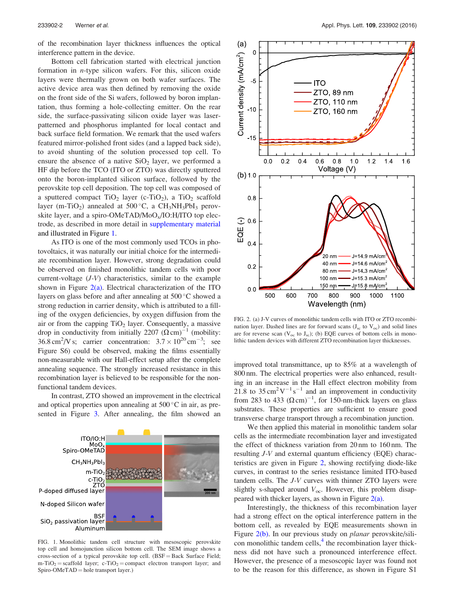of the recombination layer thickness influences the optical interference pattern in the device.

Bottom cell fabrication started with electrical junction formation in n-type silicon wafers. For this, silicon oxide layers were thermally grown on both wafer surfaces. The active device area was then defined by removing the oxide on the front side of the Si wafers, followed by boron implantation, thus forming a hole-collecting emitter. On the rear side, the surface-passivating silicon oxide layer was laserpatterned and phosphorus implanted for local contact and back surface field formation. We remark that the used wafers featured mirror-polished front sides (and a lapped back side), to avoid shunting of the solution processed top cell. To ensure the absence of a native  $SiO<sub>2</sub>$  layer, we performed a HF dip before the TCO (ITO or ZTO) was directly sputtered onto the boron-implanted silicon surface, followed by the perovskite top cell deposition. The top cell was composed of a sputtered compact  $TiO<sub>2</sub>$  layer (c-TiO<sub>2</sub>), a  $TiO<sub>2</sub>$  scaffold layer (m-TiO<sub>2</sub>) annealed at  $500^{\circ}$ C, a CH<sub>3</sub>NH<sub>3</sub>PbI<sub>3</sub> perovskite layer, and a spiro-OMeTAD/ $MoO<sub>x</sub>/IO:H/ITO$  top electrode, as described in more detail in [supplementary material](ftp://ftp.aip.org/epaps/appl_phys_lett/E-APPLAB-109-044649) and illustrated in Figure 1.

As ITO is one of the most commonly used TCOs in photovoltaics, it was naturally our initial choice for the intermediate recombination layer. However, strong degradation could be observed on finished monolithic tandem cells with poor current-voltage  $(J-V)$  characteristics, similar to the example shown in Figure  $2(a)$ . Electrical characterization of the ITO layers on glass before and after annealing at  $500^{\circ}$ C showed a strong reduction in carrier density, which is attributed to a filling of the oxygen deficiencies, by oxygen diffusion from the air or from the capping  $TiO<sub>2</sub>$  layer. Consequently, a massive drop in conductivity from initially 2207  $(\Omega \text{ cm})^{-1}$  (mobility:  $36.8 \text{ cm}^2/\text{V s}$ ; carrier concentration:  $3.7 \times 10^{20} \text{ cm}^{-3}$ ; see Figure S6) could be observed, making the films essentially non-measurable with our Hall-effect setup after the complete annealing sequence. The strongly increased resistance in this recombination layer is believed to be responsible for the nonfunctional tandem devices.

In contrast, ZTO showed an improvement in the electrical and optical properties upon annealing at  $500\,^{\circ}\text{C}$  in air, as presented in Figure [3](#page-3-0). After annealing, the film showed an



FIG. 1. Monolithic tandem cell structure with mesoscopic perovskite top cell and homojunction silicon bottom cell. The SEM image shows a cross-section of a typical perovskite top cell. (BSF = Back Surface Field;  $m-TiO<sub>2</sub> =$  scaffold layer; c-TiO<sub>2</sub> = compact electron transport layer; and Spiro-OMeTAD = hole transport layer.)



FIG. 2. (a) J-V curves of monolithic tandem cells with ITO or ZTO recombination layer. Dashed lines are for forward scans  $(J_{sc}$  to  $V_{oc})$  and solid lines are for reverse scan ( $V_{oc}$  to  $J_{sc}$ ); (b) EQE curves of bottom cells in monolithic tandem devices with different ZTO recombination layer thicknesses.

improved total transmittance, up to 85% at a wavelength of 800 nm. The electrical properties were also enhanced, resulting in an increase in the Hall effect electron mobility from 21.8 to  $35 \text{ cm}^2 \text{V}^{-1} \text{s}^{-1}$  and an improvement in conductivity from 283 to 433  $(\Omega \text{ cm})^{-1}$ , for 150-nm-thick layers on glass substrates. These properties are sufficient to ensure good transverse charge transport through a recombination junction.

We then applied this material in monolithic tandem solar cells as the intermediate recombination layer and investigated the effect of thickness variation from 20 nm to 160 nm. The resulting J-V and external quantum efficiency (EQE) characteristics are given in Figure 2, showing rectifying diode-like curves, in contrast to the series resistance limited ITO-based tandem cells. The J-V curves with thinner ZTO layers were slightly s-shaped around  $V_{\text{oc}}$ . However, this problem disappeared with thicker layers, as shown in Figure  $2(a)$ .

Interestingly, the thickness of this recombination layer had a strong effect on the optical interference pattern in the bottom cell, as revealed by EQE measurements shown in Figure 2(b). In our previous study on *planar* perovskite/sili-con monolithic tandem cells,<sup>[4](#page-4-0)</sup> the recombination layer thickness did not have such a pronounced interference effect. However, the presence of a mesoscopic layer was found not to be the reason for this difference, as shown in Figure S1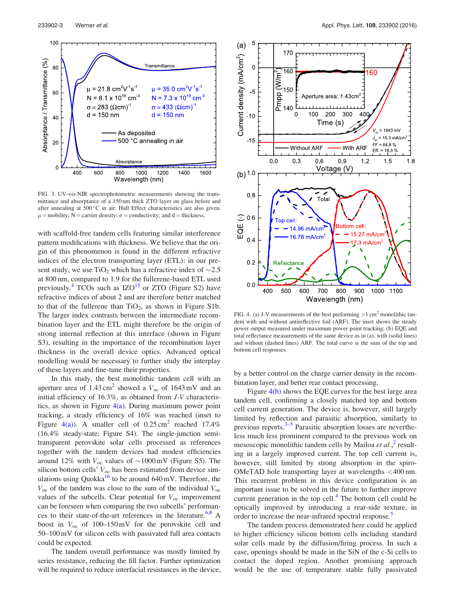<span id="page-3-0"></span>

FIG. 3. UV-vis-NIR spectrophotometric measurements showing the transmittance and absorptance of a 150 nm thick ZTO layer on glass before and after annealing at 500 °C in air. Hall Effect characteristics are also given.  $\mu$  = mobility; N = carrier density;  $\sigma$  = conductivity; and d = thickness.

with scaffold-free tandem cells featuring similar interference pattern modifications with thickness. We believe that the origin of this phenomenon is found in the different refractive indices of the electron transporting layer (ETL): in our present study, we use TiO<sub>2</sub> which has a refractive index of  $\sim$ 2.5 at 800 nm, compared to 1.9 for the fullerene-based ETL used previously.<sup>[4](#page-4-0)</sup> TCOs such as  $IZO<sup>15</sup>$  $IZO<sup>15</sup>$  $IZO<sup>15</sup>$  or ZTO (Figure S2) have refractive indices of about 2 and are therefore better matched to that of the fullerene than  $TiO<sub>2</sub>$ , as shown in Figure S1b. The larger index contrasts between the intermediate recombination layer and the ETL might therefore be the origin of strong internal reflection at this interface (shown in Figure S3), resulting in the importance of the recombination layer thickness in the overall device optics. Advanced optical modelling would be necessary to further study the interplay of these layers and fine-tune their properties.

In this study, the best monolithic tandem cell with an aperture area of  $1.43 \text{ cm}^2$  showed a  $V_{\text{oc}}$  of  $1643 \text{ mV}$  and an initial efficiency of 16.3%, as obtained from J-V characteristics, as shown in Figure  $4(a)$ . During maximum power point tracking, a steady efficiency of 16% was reached (inset to Figure 4(a)). A smaller cell of  $0.25 \text{ cm}^2$  reached 17.4% (16.4% steady-state; Figure S4). The single-junction semitransparent perovskite solar cells processed as references together with the tandem devices had modest efficiencies around 12% with  $V_{\text{oc}}$  values of  $\sim$ 1000 mV (Figure S5). The silicon bottom cells'  $V_{\text{oc}}$  has been estimated from device simulations using Quokka<sup>16</sup> to be around 640 mV. Therefore, the  $V_{\text{oc}}$  of the tandem was close to the sum of the individual  $V_{\text{oc}}$ values of the subcells. Clear potential for  $V_{\text{oc}}$  improvement can be foreseen when comparing the two subcells' performances to their state-of-the-art references in the literature.<sup>6,8</sup> A boost in  $V_{\text{oc}}$  of 100–150 mV for the perovskite cell and 50–100 mV for silicon cells with passivated full area contacts could be expected.

The tandem overall performance was mostly limited by series resistance, reducing the fill factor. Further optimization will be required to reduce interfacial resistances in the device,



FIG. 4. (a) J-V measurements of the best performing  $>1$  cm<sup>2</sup> monolithic tandem with and without antireflective foil (ARF). The inset shows the steady power output measured under maximum power point tracking; (b) EQE and total reflectance measurements of the same device as in (a), with (solid lines) and without (dashed lines) ARF. The total curve is the sum of the top and bottom cell responses.

by a better control on the charge carrier density in the recombination layer, and better rear contact processing.

Figure 4(b) shows the EQE curves for the best large area tandem cell, confirming a closely matched top and bottom cell current generation. The device is, however, still largely limited by reflection and parasitic absorption, similarly to previous reports. $3-5$  Parasitic absorption losses are nevertheless much less prominent compared to the previous work on mesoscopic monolithic tandem cells by Mailoa et al.,<sup>[2](#page-4-0)</sup> resulting in a largely improved current. The top cell current is, however, still limited by strong absorption in the spiro-OMeTAD hole transporting layer at wavelengths <400 nm. This recurrent problem in this device configuration is an important issue to be solved in the future to further improve current generation in the top cell.<sup>[4](#page-4-0)</sup> The bottom cell could be optically improved by introducing a rear-side texture, in order to increase the near-infrared spectral response.<sup>[5](#page-4-0)</sup>

The tandem process demonstrated here could be applied to higher efficiency silicon bottom cells including standard solar cells made by the diffusion/firing process. In such a case, openings should be made in the SiN of the c-Si cells to contact the doped region. Another promising approach would be the use of temperature stable fully passivated